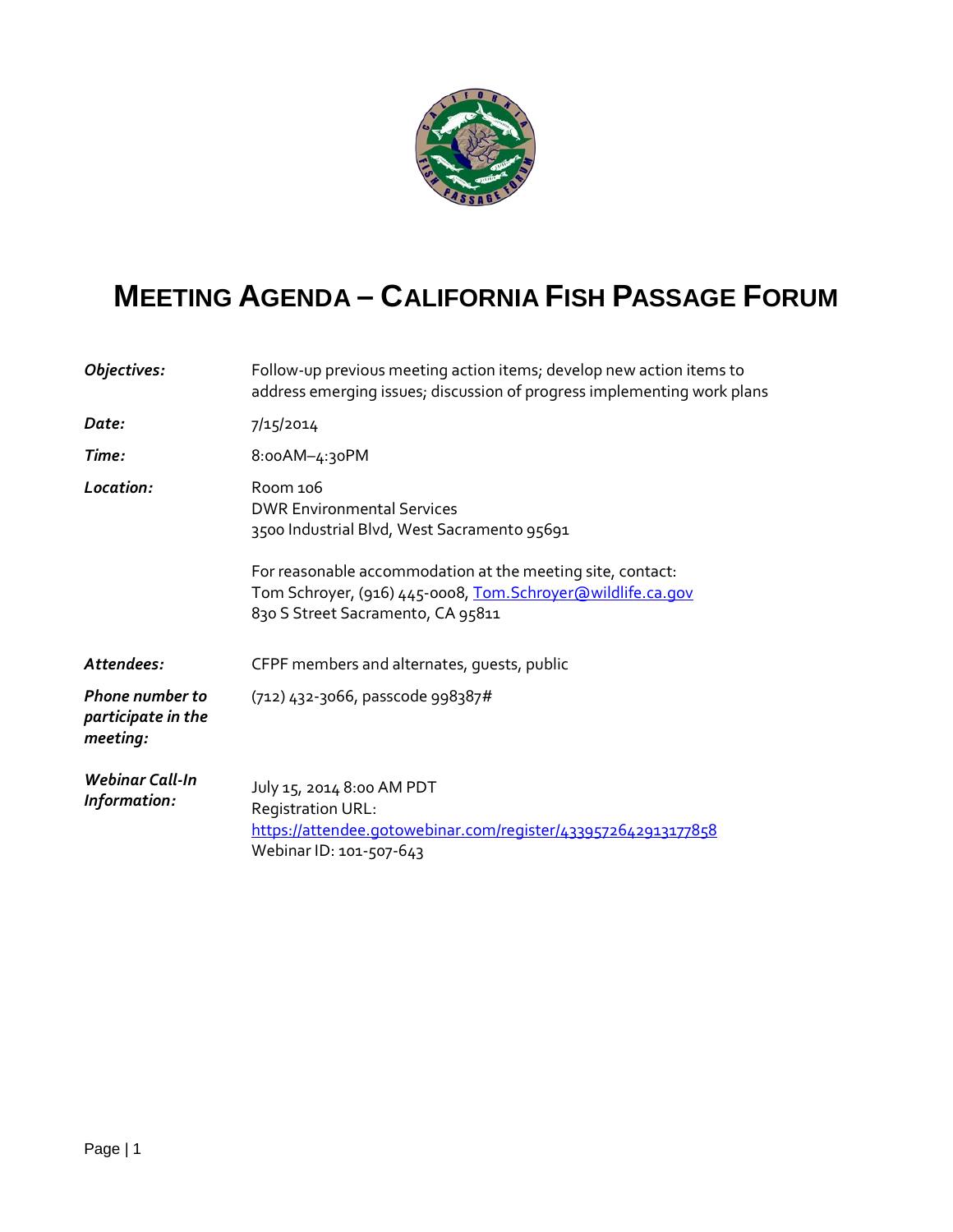

## **MEETING AGENDA – CALIFORNIA FISH PASSAGE FORUM**

| Objectives:                                              | Follow-up previous meeting action items; develop new action items to<br>address emerging issues; discussion of progress implementing work plans                                                                           |
|----------------------------------------------------------|---------------------------------------------------------------------------------------------------------------------------------------------------------------------------------------------------------------------------|
| Date:                                                    | 7/15/2014                                                                                                                                                                                                                 |
| Time:                                                    | 8:00AM-4:30PM                                                                                                                                                                                                             |
| Location:                                                | Room 106<br><b>DWR Environmental Services</b><br>3500 Industrial Blvd, West Sacramento 95691<br>For reasonable accommodation at the meeting site, contact:<br>Tom Schroyer, (916) 445-0008, Tom. Schroyer@wildlife.ca.gov |
|                                                          | 830 S Street Sacramento, CA 95811                                                                                                                                                                                         |
| Attendees:                                               | CFPF members and alternates, quests, public                                                                                                                                                                               |
| <b>Phone number to</b><br>participate in the<br>meeting: | (712) 432-3066, passcode 998387#                                                                                                                                                                                          |
| <b>Webinar Call-In</b><br>Information:                   | July 15, 2014 8:00 AM PDT<br>Registration URL:<br>https://attendee.gotowebinar.com/register/4339572642913177858<br>Webinar ID: 101-507-643                                                                                |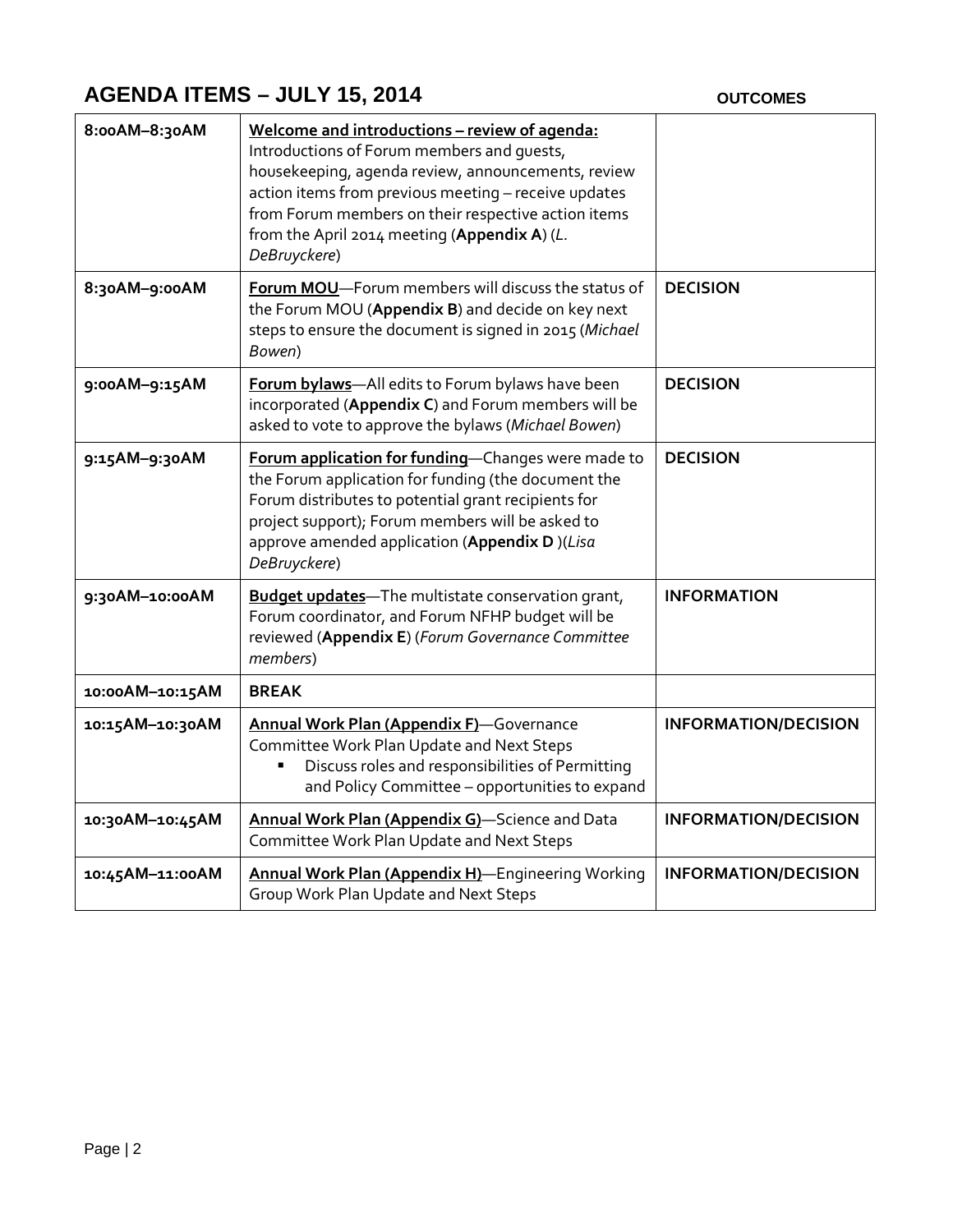## **AGENDA ITEMS – JULY 15, 2014 OUTCOMES**

| 8:00AM-8:30AM   | Welcome and introductions - review of agenda:<br>Introductions of Forum members and quests,<br>housekeeping, agenda review, announcements, review<br>action items from previous meeting - receive updates<br>from Forum members on their respective action items<br>from the April 2014 meeting (Appendix A) (L.<br>DeBruyckere) |                             |
|-----------------|----------------------------------------------------------------------------------------------------------------------------------------------------------------------------------------------------------------------------------------------------------------------------------------------------------------------------------|-----------------------------|
| 8:30AM-9:00AM   | Forum MOU-Forum members will discuss the status of<br>the Forum MOU (Appendix B) and decide on key next<br>steps to ensure the document is signed in 2015 (Michael<br>Bowen)                                                                                                                                                     | <b>DECISION</b>             |
| 9:00AM-9:15AM   | Forum bylaws-All edits to Forum bylaws have been<br>incorporated (Appendix C) and Forum members will be<br>asked to vote to approve the bylaws (Michael Bowen)                                                                                                                                                                   | <b>DECISION</b>             |
| 9:15AM-9:30AM   | Forum application for funding-Changes were made to<br>the Forum application for funding (the document the<br>Forum distributes to potential grant recipients for<br>project support); Forum members will be asked to<br>approve amended application (Appendix D)(Lisa<br>DeBruyckere)                                            | <b>DECISION</b>             |
| 9:30AM-10:00AM  | <b>Budget updates-The multistate conservation grant,</b><br>Forum coordinator, and Forum NFHP budget will be<br>reviewed (Appendix E) (Forum Governance Committee<br>members)                                                                                                                                                    | <b>INFORMATION</b>          |
| 10:00AM-10:15AM | <b>BREAK</b>                                                                                                                                                                                                                                                                                                                     |                             |
| 10:15AM-10:30AM | Annual Work Plan (Appendix F)-Governance<br>Committee Work Plan Update and Next Steps<br>Discuss roles and responsibilities of Permitting<br>Ξ<br>and Policy Committee - opportunities to expand                                                                                                                                 | <b>INFORMATION/DECISION</b> |
| 10:30AM-10:45AM | Annual Work Plan (Appendix G)-Science and Data<br>Committee Work Plan Update and Next Steps                                                                                                                                                                                                                                      | <b>INFORMATION/DECISION</b> |
| 10:45AM-11:00AM | Annual Work Plan (Appendix H)-Engineering Working<br>Group Work Plan Update and Next Steps                                                                                                                                                                                                                                       | <b>INFORMATION/DECISION</b> |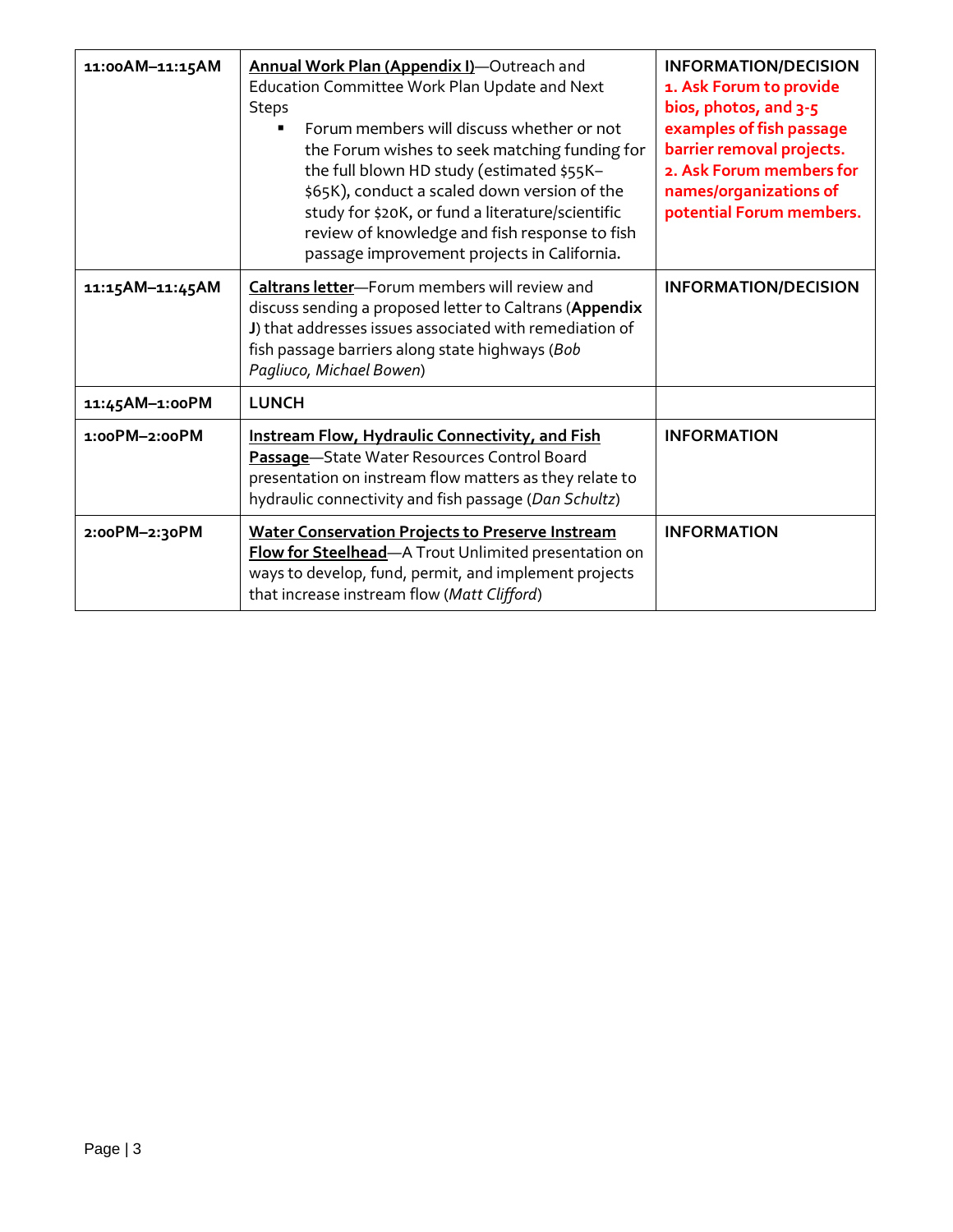| 11:00AM-11:15AM | Annual Work Plan (Appendix I)-Outreach and<br>Education Committee Work Plan Update and Next<br><b>Steps</b><br>Forum members will discuss whether or not<br>$\blacksquare$<br>the Forum wishes to seek matching funding for<br>the full blown HD study (estimated \$55K-<br>\$65K), conduct a scaled down version of the<br>study for \$20K, or fund a literature/scientific<br>review of knowledge and fish response to fish<br>passage improvement projects in California. | <b>INFORMATION/DECISION</b><br>1. Ask Forum to provide<br>bios, photos, and 3-5<br>examples of fish passage<br>barrier removal projects.<br>2. Ask Forum members for<br>names/organizations of<br>potential Forum members. |
|-----------------|------------------------------------------------------------------------------------------------------------------------------------------------------------------------------------------------------------------------------------------------------------------------------------------------------------------------------------------------------------------------------------------------------------------------------------------------------------------------------|----------------------------------------------------------------------------------------------------------------------------------------------------------------------------------------------------------------------------|
| 11:15AM-11:45AM | Caltrans letter-Forum members will review and<br>discuss sending a proposed letter to Caltrans (Appendix<br>J) that addresses issues associated with remediation of<br>fish passage barriers along state highways (Bob<br>Pagliuco, Michael Bowen)                                                                                                                                                                                                                           | <b>INFORMATION/DECISION</b>                                                                                                                                                                                                |
| 11:45AM-1:00PM  | <b>LUNCH</b>                                                                                                                                                                                                                                                                                                                                                                                                                                                                 |                                                                                                                                                                                                                            |
| 1:00PM-2:00PM   | <b>Instream Flow, Hydraulic Connectivity, and Fish</b><br>Passage-State Water Resources Control Board<br>presentation on instream flow matters as they relate to<br>hydraulic connectivity and fish passage (Dan Schultz)                                                                                                                                                                                                                                                    | <b>INFORMATION</b>                                                                                                                                                                                                         |
| 2:00PM-2:30PM   | <b>Water Conservation Projects to Preserve Instream</b><br>Flow for Steelhead-A Trout Unlimited presentation on<br>ways to develop, fund, permit, and implement projects<br>that increase instream flow (Matt Clifford)                                                                                                                                                                                                                                                      | <b>INFORMATION</b>                                                                                                                                                                                                         |